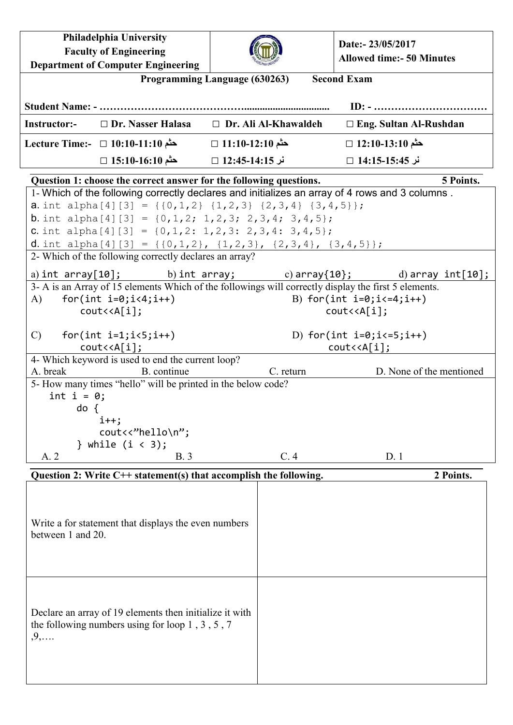**Philadelphia University Faculty of Engineering Department of Computer Engineering Date:- 23/05/2017 Allowed time:- 50 Minutes Programming Language (630263) Second Exam Student Name: - ……………………………………................................. ID: - …………………………… Instructor:-** □ **Dr. Nasser Halasa** □ **Dr. Ali Al-Khawaldeh** □ **Eng. Sultan Al-Rushdan حثم 12:10-13:10** □ **حثم 11:10-12:10** □ **حثم 10:10-11:10** □ **:-Time Lecture نر 14:15-15:45** □ **نر 12:45-14:15** □ **حثم 15:10-16:10** □ **Question 1: choose the correct answer for the following questions. 5 Points.** 1- Which of the following correctly declares and initializes an array of 4 rows and 3 columns . **a.** int alpha[4][3] = {{0,1,2} {1,2,3} {2,3,4} {3,4,5}}; **b.** int alpha[4][3] =  $\{0, 1, 2; 1, 2, 3; 2, 3, 4; 3, 4, 5\};$ **c.** int alpha[4][3] =  $\{0, 1, 2: 1, 2, 3: 2, 3, 4: 3, 4, 5\}$ ; d. int alpha[4][3] = {{0,1,2}, {1,2,3}, {2,3,4}, {3,4,5}}; 2- Which of the following correctly declares an array? a) int array $[10]$ ; b) int array; c) array $\{10\}$ ; d) array int $[10]$ ; 3- A is an Array of 15 elements Which of the followings will correctly display the first 5 elements. A) for(int  $i=0; i<4; i++)$  B) for(int  $i=0; i<=4; i++)$  cout<<A[i]; cout<<A[i]; C) for(int  $i=1; i<5; i++)$  D) for(int  $i=0; i<=5; i++)$  cout<<A[i]; cout<<A[i]; 4- Which keyword is used to end the current loop? A. break B. continue B. continue C. return D. None of the mentioned 5- How many times "hello" will be printed in the below code? int  $i = 0$ ; do { i++; cout<<"hello\n"; } while  $(i < 3)$ ; A. 2 B. 3 C. 4 D. 1 **Question 2: Write C++ statement(s) that accomplish the following. 2 Points.** Write a for statement that displays the even numbers between 1 and 20. Declare an array of 19 elements then initialize it with the following numbers using for loop 1 , 3 , 5 , 7 ,9,….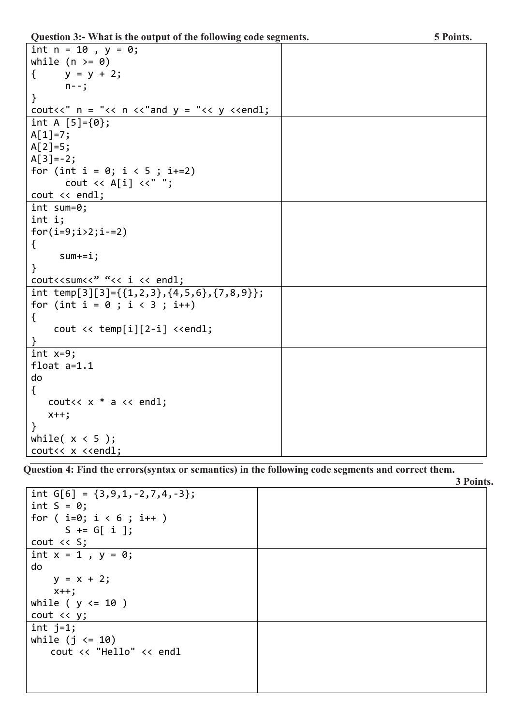**Question 3:- What is the output of the following code segments. 5 Points.**

| int $n = 10$ , $y = 0$ ;                                                     |  |
|------------------------------------------------------------------------------|--|
| while $(n > = 0)$                                                            |  |
| $y = y + 2;$<br>$\{$                                                         |  |
| $n - -$ ;                                                                    |  |
| $\}$                                                                         |  |
| cout<<" $n = "<< n << "and y = "<< y << "end1;$                              |  |
| int A $[5] = \{0\};$                                                         |  |
| $A[1]=7;$                                                                    |  |
| $A[2]=5;$                                                                    |  |
| $A[3] = -2;$                                                                 |  |
| for (int i = 0; i < 5 ; i+=2)                                                |  |
| cout $\langle \langle A[i] \rangle \langle \langle \cdot \rangle \rangle$ "; |  |
| $\text{cut} \ll \text{endl};$                                                |  |
| $int sum=0;$                                                                 |  |
| int i;                                                                       |  |
| $for(i=9;i>2;i-=2)$                                                          |  |
| $\{$                                                                         |  |
| $sum += i;$                                                                  |  |
| $\}$                                                                         |  |
| cout< <sum<<" "<<="" <<="" endl;<="" i="" td=""><td></td></sum<<">           |  |
| int temp[3][3]={{1,2,3}, {4,5,6}, {7,8,9}};                                  |  |
| for (int $i = 0$ ; $i < 3$ ; $i++)$                                          |  |
| $\mathcal{L}$                                                                |  |
| cout $\langle \rangle$ temp[i][2-i] $\langle \rangle$ cendl;                 |  |
|                                                                              |  |
| $int x=9;$                                                                   |  |
| float $a=1.1$                                                                |  |
| do                                                                           |  |
| $\{$                                                                         |  |
| cout<< $x * a < \text{endl};$                                                |  |
| $x++;$                                                                       |  |
| $\mathcal{F}$                                                                |  |
| while $(x < 5)$ ;                                                            |  |
| cout<< x < <endl;< td=""><td></td></endl;<>                                  |  |

**Question 4: Find the errors(syntax or semantics) in the following code segments and correct them.**

|                         |                                  |  | 3 Points. |
|-------------------------|----------------------------------|--|-----------|
|                         | int $G[6] = {3,9,1,-2,7,4,-3}$ ; |  |           |
| $int S = 0;$            |                                  |  |           |
| for $(i=0; i < 6; i++)$ |                                  |  |           |
| $S \leftarrow G[i]$ ;   |                                  |  |           |
| $\cot \leftarrow$ S;    |                                  |  |           |
| int $x = 1$ , $y = 0$ ; |                                  |  |           |
| do                      |                                  |  |           |
| $y = x + 2;$            |                                  |  |           |
| $x++;$                  |                                  |  |           |
| while ( $y \le 10$ )    |                                  |  |           |
| cout << y;              |                                  |  |           |
| int $j=1$ ;             |                                  |  |           |
| while $(j \le 10)$      |                                  |  |           |
|                         | cout << "Hello" << endl          |  |           |
|                         |                                  |  |           |
|                         |                                  |  |           |
|                         |                                  |  |           |